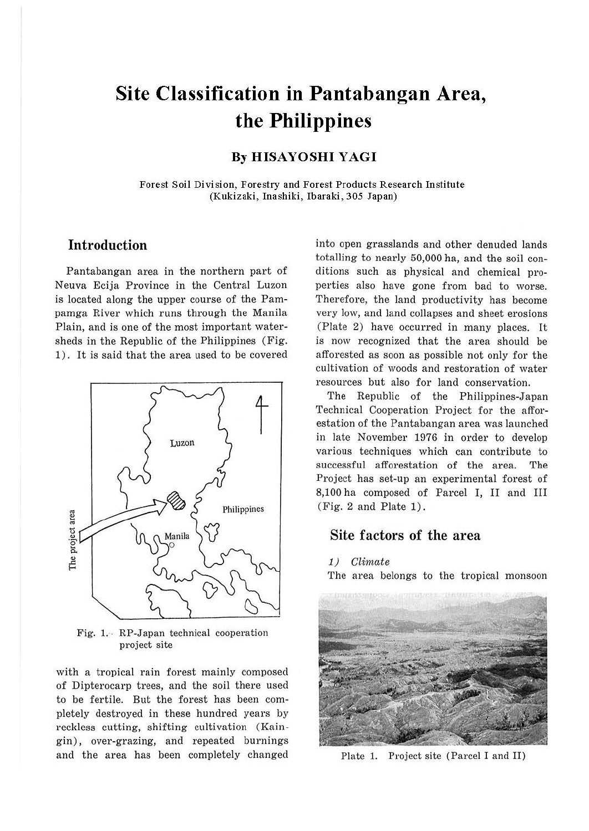# **Site Classification in Pantabangan Area, the Philippines**

# **By HISAYOSHI YAGI**

Forest Soil Division, Forestry and Forest Products Research Institute (Kukizaki, Inashiki, Ibaraki, 305 Japan)

# **Introduction**

Pantabangan area in the northern part of Neuva Ecija Province in the Central Luzon is located along the upper course of the Pampamga River which runs through the Manila Plain, and is one of the most important watersheds in the Republic of the Philippines (Fig. 1). It is said that the area used to be covered



Fig. 1.. RP-Japan technical cooperation project site

with a tropical rain forest mainly composed of Dipterocarp trees, and the soil there used to be fertile. But the forest has been completely destroyed in these hundred years by reckless cutting, shifting cultivation (Kaingin), over-grazing, and repeated burnings and the area has been completely changed into open grasslands and other denuded lands totalling to nearly 50,000 ha, and the soil conditions such as physical and chemical properties also have gone from bad to worse. Therefore, the land productivity has become very low, and land collapses and sheet erosions (Plate 2) have occurred in many places. It is now recognized that the area should be afforested as soon as possible not only for the cultivation of woods and restoration of water resources but also for land conservation.

The Republic of the Philippines-Japan Technical Cooperation Project for the afforestation of the Pantabangan area was launched in late November 1976 in order to develop various techniques which can contribute to successful afforestation of the area. The Project has set-up an experimental forest of 8,100 ha composed of Parcel I, II and III (Fig. 2 and Plate 1).

# Site factors of the area

## 1) Climate

The area belongs to the tropical monsoon



Plate 1. Project site (Parcel I and II)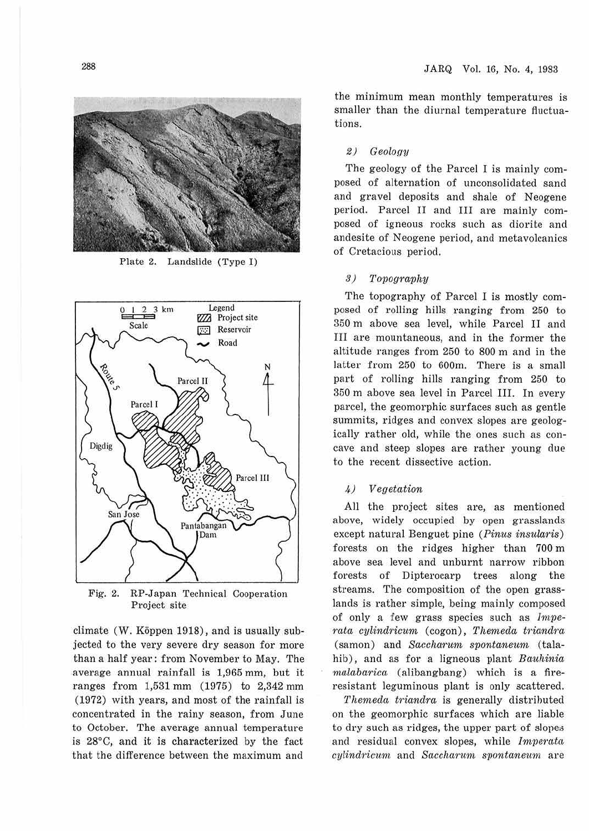

Plate 2. Landslide (Type I)



Fig. 2. RP-Japan Technical Cooperation Project site

climate (W. Köppen 1918), and is usually subjected to the very severe dry season for more than a half year: from November to May. The average annual rainfall is 1,965 mm, but it ranges from 1,531 mm (1975) to 2,342 mm (1972) with years, and most of the rainfall is concentrated in the rainy season, from June to October. The average annual temperature is 28°C, and it is characterized by the fact that the difference between the maximum and

the minimum mean monthly temperatures is smaller than the diurnal temperature fluctuations.

## 2) Geology

The geology of the Parcel I is mainly composed of alternation of unconsolidated sand and gravel deposits and shale of Neogene period. Parcel II and III are mainly composed of igneous rocks such as diorite and andesite of Neogene period, and metavolcanics of Cretacious period.

### 3) Topography

The topography of Parcel I is mostly composed of rolling hills ranging from 250 to 350 m above sea level, while Parcel II and III are mountaneous, and in the former the altitude ranges from 250 to 800 m and in the latter from 250 to 600m. There is a small part of rolling hills ranging from 250 to 350 m above sea level in Parcel III. In every parcel, the geomorphic surfaces such as gentle summits, ridges and convex slopes are geologically rather old, while the ones such as concave and steep slopes are rather young due to the recent dissective action.

## *4)* Vegetation

All the project sites are, as mentioned above, widely occupied by open grasslands except natural Benguet pine (Pinus insularis) forests on the ridges higher than 700 m above sea level and unburnt narrow ribbon forests of Dipterocarp trees along the streams. The composition of the open grasslands is rather simple, being mainly composed of only a few grass species such as  $Impe$ rata cylindricum (cogon), Themeda triandra (samon) and Saccharum spontaneum (talahib), and as for a ligneous plant Bauhinia  $malabarica$  (alibangbang) which is a fireresistant leguminous plant is only scattered.

Themeda triandra is generally distributed on the geomorphic surfaces which are liable to dry such as ridges, the upper part of slopes and residual convex slopes, while Imperata cylindricum and Saccharum spontaneum are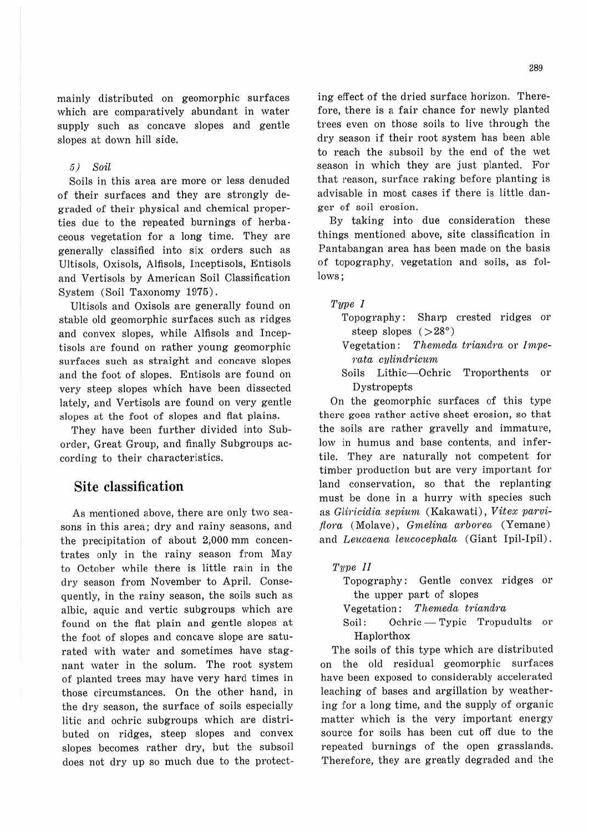mainly distributed on geomorphic surfaces which are comparatively abundant in water supply such as concave slopes and gentle slopes at down hill side.

#### 5) Soil

Soils in this area are more or less denuded of their surfaces and they are strongly degraded of their physical and chemical properties due to the repeated burnings of herbaceous vegetation for a long time. They are generally classified into six orders such as Ultisols, Oxisols, Alfisols, Inceptisols, Entisols and Vertisols by American Soil Classification System (Soil Taxonomy 1975).

Ultisols and Oxisols are generally found on stable old geomorphic surfaces such as ridges and convex slopes, while Alfisols and Inceptisols are found on rather young geomorphic surfaces such as straight and concave slopes and the foot of slopes. Entisols are found on very steep slopes which have been dissected lately, and Vertisols are found on very gentle slopes at the foot of slopes and flat plains.

They have been further divided into Suborder, Great Group, and finally Subgroups according to their characteristics.

## **Site classification**

As mentioned above, there are only two seasons in this area; dry and rainy seasons, and the precipitation of about 2,000 mm concentrates only in the rainy season from May to October while there is little rain in the dry season from November to April. Consequently, in the rainy season, the soils such as albic, aquic and vertic subgroups which are found on the flat plain and gentle slopes at the foot of slopes and concave slope are saturated with water and sometimes have stagnant water in the solum. The root system of planted trees may have very hard times in those circumstances. On the other hand, in the dry season, the surface of soils especially litic and ochric subgroups which are distributed on ridges, steep slopes and convex slopes becomes rather dry, but the subsoil does not dry up so much due to the protect-

ing effect of the dried surface horizon. Therefore, there is a fair chance for newly planted trees even on those soils to live through the dry season if their root system has been able to reach the subsoil by the end of the wet season in which they are just planted. For that reason, surface raking before planting is advisable in most cases if there is little danger of soil erosion.

By taking into due consideration these things mentioned above, site classification in Pantabangan area has been made on the basis of topography, vegetation and soils, as follows;

## Type *I*

- Topography: Sharp crested ridges or steep slopes  $( >28°)$
- Vegetation: Themeda triandra or Impe-1·ata cylindricum
- Soils Lithic-Ochric Troporthents or Dystropepts

On the geomorphic surfaces of this type there goes rather active sheet erosion, so that the soils are rather gravelly and immature, low in humus and base contents, and infertile. They are naturally not competent for timber production but are very important for land conservation, so that the replanting must be done in a hurry with species such as Gliricidia sepium (Kakawati), Vitex parviflora (Molave), Gmelina arborea (Yemane) and Leucaena leucocephala (Giant Ipil-Ipil).

#### Type II

Topography: Gentle convex ridges or the upper part of slopes

Vegetation: Themeda triandra

Soil: Ochric - Typic Tropudults or Haplorthox

The soils of this type which are distributed on the old residual geomorphic surfaces have been exposed to considerably accelerated leaching of bases and argillation by weathering for a long time, and the supply of organic matter which is the very important energy source for soils has been cut off due to the repeated burnings of the open grasslands. Therefore, they are greatly degraded and the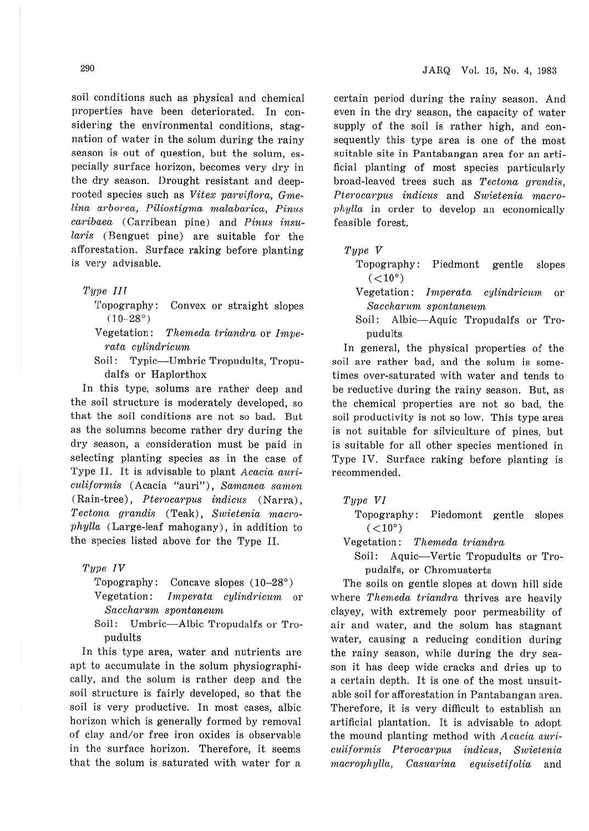soil conditions such as physical and chemical properties have been deteriorated. In considering the environmental conditions, stagnation of water in the solum during the rainy season is out of question, but the solum, especially surface horizon, becomes very dry in the dry season. Drought resistant and deeprooted species such as *Vitex parvifiora, Gmelina arborea, Piliostigma malabarica, Pinus caribaea* (Carribean pine) and Pinus insu*laris* (Benguet pine) are suitable for the afforestation. Surface raking before planting is very advisable.

#### *Type III*

- 'L'opography: Convex or straight slopes  $(10-28°)$
- Vegetation: *T hemeda triandra* or *hnve* $rata$  *cylindricum*
- Soil: Typic-Umbric Tropudults, Tropudalfs or Haplorthox

In this type, solums are rather deep and the soil structure is moderately developed, so that the soil conditions are not so bad. But as the solumns become rather dry during the dry season, a consideration must be paid in selecting planting species as in the case of Type II. It is advisable to plant *Acacia auri* $culiformis$  (Acacia "auri"), Samanea samon (Rain-tree), *Pterocarpus indicus* (Narra) ,  $Tectona$  grandis (Teak), *Swietenia* macro*phylla* (Large-leaf mahogany), in addition to the species listed above for the Type II.

## *Type IV*

Topography: Concave slopes  $(10-28°)$ 

Vegetation: *Imperata cylindricum* or  $Saccharum$  *spontaneum* 

Soil: Umbric-Albic Tropudalfs or Tropudults

In this type area, water and nutrients are apt to accumulate in the solum physiographically, and the solum is rather deep and the soil structure is fairly developed, so that the soil is very productive. In most cases, albic horizon which is generally formed by removal of clay and/or free iron oxides is observable in the surface horizon. Therefore, it seems that the solum is saturated with water for a

certain period during the rainy season. And even in the dry season, the capacity of water supply of the soil is rather high, and consequently this type area is one of the most suitable site in Pantabangan area for an artificial planting of most species particularly broad-leaved trees such as *Tectona grandis*. *Pterocctrp1ts indicits* and *Swietenia macrophylla* in order to develop an economically feasible forest.

#### *Tyve V*

- Topography: Piedmont gentle slopes  $(<10°)$
- Vegetation: *hnperata cylindricwni* or *Saccharum spontaneum*
- Soil: Albic-Aquic Tropudalfs or Tropudults

In general, the physical properties of the soil are rather bad, and the solum is sometimes over-saturated with water and tends to be reductive during the rainy season. But, as the chemical properties are not so bad, the soil productivity is not so low. This type area is not suitable for silviculture of pines, but is suitable for all other species mentioned in Type IV. Surface raking before planting is recommended.

#### *Tyve VI*

Topography: Piedomont gentle slopes  $(<10°)$ 

Vegetation: Themeda triandra

Soil: Aquic-Vertic Tropudults or Tropudalfs, or Chromusterts

The soils on gentle slopes at down hill side where *Themeda triandra* thrives are heavily clayey, with extremely poor permeability of air and water, and the solum has stagnant water, causing a reducing condition during the rainy season, while during the dry season it has deep wide cracks and dries up to a certain depth. It is one of the most unsuitable soil for afforestation in Pantabangan area. Therefore, it is very difficult to establish an artificial plantation. It is advisable to adopt the mound planting method with *Acacia auri-C'uliforrnis Pterocarpus 'indicus, Swietenia*   $macrophylla, Casuarina$  equisetifolia and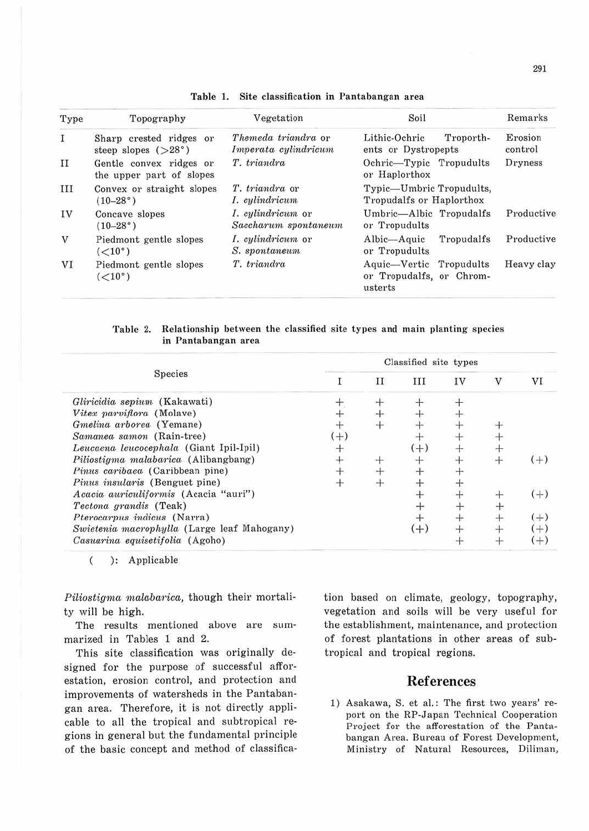| Type          | Topography<br>Sharp crested ridges or<br>steep slopes $(>28^{\circ})$ | Vegetation<br>Themeda triandra or<br>Imperata cylindricum | Soil                                                           | Remarks<br>Erosion<br>control |  |
|---------------|-----------------------------------------------------------------------|-----------------------------------------------------------|----------------------------------------------------------------|-------------------------------|--|
| $\mathbf I$   |                                                                       |                                                           | Lithic-Ochric<br>Troporth-<br>ents or Dystropepts              |                               |  |
| $_{II}$       | Gentle convex ridges or<br>the upper part of slopes                   | T. triandra                                               | Ochric-Typic Tropudults<br>or Haplorthox                       | Dryness                       |  |
| III           | Convex or straight slopes<br>$(10-28)$ °                              | T. triandra or<br>I. cylindricum                          | Typic—Umbric Tropudults,<br>Tropudalfs or Haplorthox           |                               |  |
| IV            | Concave slopes<br>$(10-28)$ °                                         | <i>I. cylindricum</i> or<br>Saccharum spontaneum          | Umbric-Albic Tropudalfs<br>or Tropudults                       | Productive                    |  |
| $\bar{\rm V}$ | Piedmont gentle slopes<br>(<10°)                                      | I. cylindricum or<br>S. spontaneum                        | Albic—Aquic<br>Tropudalfs<br>or Tropudults                     | Productive                    |  |
| VI            | Piedmont gentle slopes<br>(<10°)                                      | T. triandra                                               | Aquic-Vertic Tropudults<br>or Tropudalfs, or Chrom-<br>usterts | Heavy clay                    |  |

Table 1. Site classification in Pantabangan area

Table 2. Relationship between the classified site types and main planting species in Pantabangan area

|                                             | Classified site types |   |       |    |   |       |  |  |
|---------------------------------------------|-----------------------|---|-------|----|---|-------|--|--|
| Species                                     |                       | П | ш     | IV | v | VI    |  |  |
| Gliricidia sepium (Kakawati)                |                       |   |       |    |   |       |  |  |
| Vitex parviflora (Molave)                   |                       |   |       |    |   |       |  |  |
| Gmelina arborea (Yemane)                    |                       |   |       |    |   |       |  |  |
| Samanea samon (Rain-tree)                   | $+1$                  |   |       |    |   |       |  |  |
| Leucaena leucocephala (Giant Ipil-Ipil)     |                       |   | $(+)$ |    |   |       |  |  |
| Piliostigma malabarica (Alibangbang)        |                       |   |       |    |   | $(+)$ |  |  |
| Pinus caribaea (Caribbean pine)             |                       |   |       |    |   |       |  |  |
| Pinus insularis (Benguet pine)              |                       |   |       |    |   |       |  |  |
| Acacia auriculiformis (Acacia "auri")       |                       |   |       |    |   | $(+)$ |  |  |
| Tectona grandis (Teak)                      |                       |   |       |    |   |       |  |  |
| Pterocarpus indicus (Narra)                 |                       |   |       |    |   | $(+)$ |  |  |
| Swietenia macrophylla (Large leaf Mahogany) |                       |   | (+)   |    |   | $(+)$ |  |  |
| Casuarina equisetifolia (Agoho)             |                       |   |       |    |   | $(+)$ |  |  |

 $\overline{(\ }$ ): Applicable

Piliostigma malabarica, though their mortality will be high.

The results mentioned above are summarized in Tables 1 and 2.

This site classification was originally designed for the purpose of successful afforestation, erosion control, and protection and improvements of watersheds in the Pantabangan area. Therefore, it is not directly applicable to all the tropical and subtropical regions in general but the fundamental principle of the basic concept and method of classification based on climate, geology, topography, vegetation and soils will be very useful for the establishment, maintenance, and protection of forest plantations in other areas of subtropical and tropical regions.

## **References**

1) Asakawa, S. et al.: The first two years' report on the RP-Japan Technical Cooperation Project for the afforestation of the Pantabangan Area. Bureau of Forest Development, Ministry of Natural Resources, Diliman,